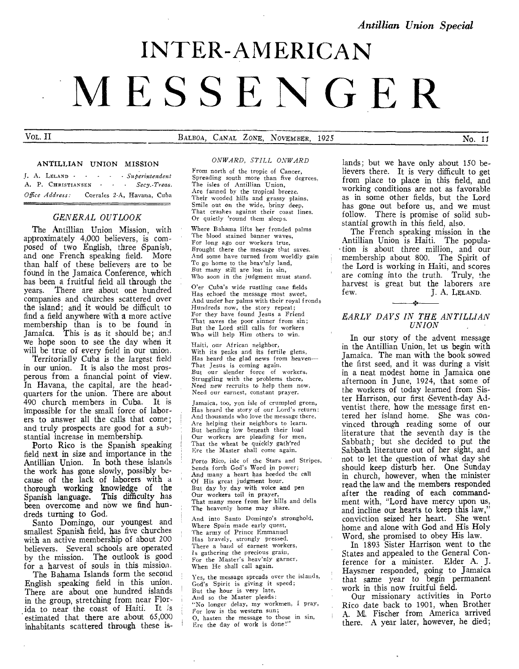# INTER-AMERICAN **MESSENGER**

VOL. II BALBOA, CANAL ZONE, NOVEMBER, 1925 No. 11

### ANTILLIAN UNION MISSION

.1. A. LtLANn *Superintendent*  A. P. CHRISTIANSEN - - - Secy.-Treas. Office Address: Corrales 2-A, Havana, Cuba

# *GENERAL OUTLOOK*

The Antillian Union Mission, with approximately 4,000 believers, is composed of two English, three Spanish, and one French speaking field. More than half of these believers are to be found in the Jamaica Conference, which has been a fruitful field all through the years. There are about one hundred companies and churches scattered over the island; and it would be difficult to find a field anywhere with a more active membership than is to be found in Jamaica. This is as it should be; and we hope soon to see the day when it will be true of every field in our union.

Territorially Cuba is the largest field in our union. It is also the most prosperous from a financial point of view. In Havana, the capital, are the headquarters for the union. There are about 490 church members in Cuba. It is impossible for the small force of laborers to answer all the calls that come; and truly prospects are good for a substantial increase in membership.

Porto Rico is the Spanish speaking field next in size and importance in the Antillian Union. In both these islands the work has gone slowly, possibly because of the lack of laborers with a thorough working knowledge of the Spanish language. This difficulty has been overcome and now we find hundreds turning to God.

Santo Domingo, our youngest and smallest Spanish field, has five churches with an active membership of about 200 believers. Several schools are operated by the mission. The outlook is good for a harvest of souls in this mission.

The Bahama Islands form the second English speaking field in this union. There are about one hundred islands in the group, stretching from near Florida to near the coast of Haiti. It estimated that there are about 65,000 inhabitants scattered through these is-

### *ONWARD, STILL ONWARD*

From north of the tropic of Cancer, Spreading south more than five degrees, The isles of Antillian Union, Are fanned by the tropical breeze. Their wooded hills and grassy plains, Smile out on the wide, briny deep, That crashes against their coast lines. Or quietly 'round them sleeps.

Where Bahama lifts her fronded palms The blood stained banner waves, For longago our workers true, Brought there the message that saves. And some have turned from worldly gain To go home to the heav'nly land, But many still are lost in sin, Who soon in the judgment must stand.

O'er Cuba's wide rustling cane fields Has echoed the message most sweet, And under her palms with their royal fronds Hundreds now, the story repeat; For they have found Jesus a Friend That saves the poor sinner from sin; But the Lord still calls for workers Who will help Him others to win.

Haiti, our African neighbor, With its peaks and its fertile glens, *Has* heard the glad news *from* heaven— That Jesus is coming again. But our slender force of workers, Struggling with the problems there, Need *new recruits* to help them now, Need our earnest, constant prayer.

Jamaica, too, yon isle of crumpled green, Has heard the story of our Lord's return: And thousands who love the message there. Are helping their neighbors to learn, But bending low beneath their load Our workers are pleading for men, That the wheat be quickly gath'red Ere the Master shall come again.

Porto Rico, isle of the Stars and Stripes, Sends forth God's Word in power; And many a heart has heeded the call Of His great judgment hour. But day by, day with voice and pen Our workers toil *in* prayer, That many more from her hills and dells The heavenly home may share.

And into Santo Domingo's stronghold, Where Spain made early quest, The army of Prince Emmanuel Has bravely, strongly pressed. There a band of earnest workers, Is gathering the precious *grain,*  For the Master's heav'nly garner, When He shall call again.

Yes, the message spreads over the islands, God's Spirit is giving it speed; But the hour is very late, And so the Master pleads: "No longer delay, my workmen, I pray, For low is the western sun; 0, hasten the message to those in sin, Ere the day of work is done!"

lands; but we have only about 150 believers there. It is very difficult to get from place to place in this field, and working conditions are not as favorable as in some other fields, but the Lord has gone out before us, and we must follow. There is promise of solid substantial growth in this field, also.

The French speaking mission in the Antillian Union is Haiti. The population is about three million, and our membership about 800. The Spirit of the Lord is working in Haiti, and scores are coming into the truth. Truly, the harvest is great but the laborers are<br>few.  $I_{\rm A}$   $I_{\rm ELAND}$ J. A. LELAND.

# *EARLY DAYS IN THE ANTILLIAN UNION*

In our story of the advent message in the Antillian Union, let us begin with Jamaica. The man with the book sowed the first seed, and it was during a visit in a neat modest home in Jamaica one afternoon in June, 1924, that some of the workers of today learned from Sister Harrison, our first Seventh-day Adventist there, how the message first entered her island home. She was convinced through reading some of our literature that the seventh day is the Sabbath; but she decided to put the Sabbath literature out of her sight, and not to let the question of what day she should keep disturb her. One Sunday in church, however, when the minister read the law and the members responded after the reading of each commandment with, "Lord have mercy upon us, and incline our hearts to keep this law, conviction seized her heart. She went home and alone with God and His Holy Word, she promised to obey His law.

In 1893 Sister Harrison went to the States and appealed to the General Conference for a minister. Elder A. J. Haysmer responded, going to Jamaica that same year to begin permanent work in this now fruitful field.

Our missionary activities in Porto Rico date back to 1901, when Brother A. M. Fischer from America arrived there. A year later, however, he died;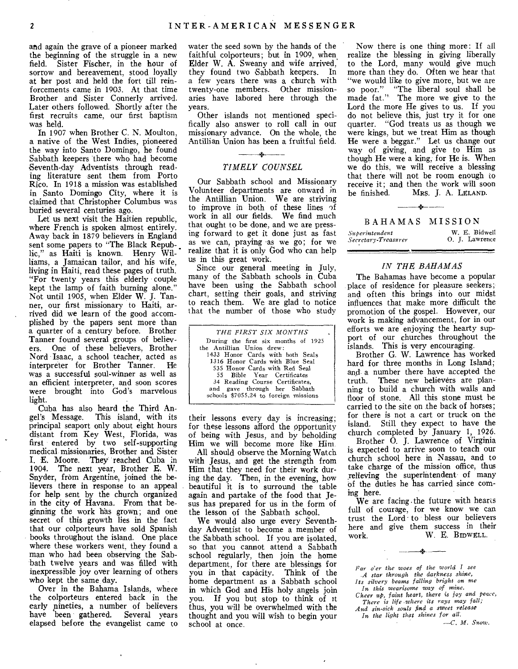and again the grave of a pioneer marked the beginning of the struggle in a new field. Sister Fischer, in the hour of sorrow and bereavement, stood loyally at her post and held the fort till reinforcements came in 1903. At that time Brother and Sister Connerly arrived. Later others followed. Shortly after the first recruits came, our first baptism was held.

In 1907 when Brother C. N. Moulton, a native of the West Indies, pioneered the way into Santo Domingo, he found Sabbath keepers there who had become Seventh-day Adventists through reading literature sent them from Porto Rico. In 1918 a mission was established in Santo Domingo City, where it is claimed that Christopher Columbus was buried several centuries ago.

Let us next visit the Haitien republic, where French is spoken almost entirely. Away back in 1879 believers in England sent some papers to "The Black Republic," as Haiti is known. Henry Williams, a Jamaican tailor, and his wife, living in Haiti, read these pages of truth. "For twenty years this elderly couple kept the lamp of faith burning alone." Not until 1905, when Elder W. J. Tanner, our first missionary to Haiti, arrived did we learn of the good accomplished by the papers sent more than a quarter of a century before. Brother Tanner found several groups of believers. One of these believers, Brother Nord Isaac, a school teacher, acted as interpreter for Brother Tanner. He was a successful soul-winner as well as an efficient interpreter, and soon scores were brought into God's marvelous light.

Cuba has also heard the Third Angel's Message. This island, with its principal seaport only about eight hours distant from Key West, Florida, was first entered by two self-supporting medical missionaries, Brother and Sister I. E. Moore. They reached Cuba in 1904. The next year, Brother E. W. Snyder, from Argentine, joined the believers there in response to an appeal for help sent by the church organized in the city of Havana. From that beginning the work has grown; and one secret of this growth lies in the fact that our colporteurs have sold Spanish books throughout the island. One place where these workers went, they found a man who had been observing the Sabbath twelve years and was filled with inexpressible joy over learning of others who kept the same day.

Over in the Bahama Islands, where the colporteurs entered back in the early nineties, a number of believers have 'been gathered. Several years elapsed before the evangelist came to

water the seed sown by the hands of the faithful colporteurs; but in 1909, when Elder W. A. Sweany and wife arrived, they found two Sabbath keepers. In a few years there was a church with twenty-one members. Other missionaries have labored here through the years.

Other islands not mentioned specifically also answer to roll call in our missionary advance. On the whole, the Antillian Union has been a fruitful field.

# Á. *TIMELY COUNSEL*

Our Sabbath school and Missionary Volunteer departments are onward in the Antillian Union. We are striving to improve in both of these lines of work in all our fields. We find much that ought to be done, and we are pressing forward to get it done just as fast as we can, praying as we go; for we realize that it is only God who can help us in this great work.

Since our general meeting in July, many of the Sabbath schools in Cuba have been using the Sabbath school chart, setting their goals, and striving to reach them. We are glad to notice that the number of those who study

| THE FIRST SIX MONTHS                  |
|---------------------------------------|
| During the first six months of 1925   |
| the Antillian Union drew:             |
| 1433 Honor Cards with both Seals      |
| 1316 Honor Cards with Blue Seal       |
| 535 Honor Cards with Red Seal         |
| 55 Bible Year Certificates            |
| 34 Reading Course Certificates.       |
| and gave through her Sabbath          |
| schools \$7055.24 to foreign missions |
|                                       |

their lessons every day is increasing; for these lessons afford the opportunity of being with Jesus, and by beholding Him we will become more like Him.

All should observe the Morning Watch with Jesus, and get the strength from Him that they need for their work during the day. Then, in the evening, how beautiful it is to surround the table again and partake of the food that Jesus has prepared for us in the form of the lesson of the Sabbath school.

We would also urge every Seventhday Adventist to become a member of the Sabbath school. If you are isolated, so that you cannot attend a Sabbath school regularly, then join the home department, for there are blessings for you in that capacity. Think of the home department as a Sabbath school in which God and His holy angels join you. If you but stop to think of it thus, you will be overwhelmed with the thought and you will wish to begin your school at once.

Now there is one thing more: If all realize the blessing in giving liberally to the Lord, many would give much more than they do. Often we hear that "we would like to give more, but we are so poor." "The liberal soul shall be made fat." The more we give to the Lord the more He gives to us. If you do not believe this, just try it for one quarter. "God treats us as though we were kings, but we treat Him as though He were a beggar." Let us change our way of giving, and give to Him as though He were a king, for He is. When we do this, we will receive a blessing that there will not be room enough io receive it; and then the work will soon<br>be finished. Mrs. J. A. LELAND. Mrs. J. A. Leland.

| BAHAMAS             | MISSION        |
|---------------------|----------------|
| Superintendent      | W. E. Bidwell  |
| Secretary-Treasurer | O. J. Lawrence |

 $+1$ 

# *IN THE BAHAMAS*

The Bahamas have become a popular place of residence for pleasure seekers; and often this brings into our midst influences that make more difficult the promotion of the gospel. However, our work is making advancement, for in our efforts we are enjoying the hearty support of our churches throughout the islands. This is very encouraging.

Brother G. W. Lawrence has worked hard for three months in Long Island; and a number there have accepted the truth. These new believers are planning to build a church with walls and floor of stone. All this stone must be carried to the site on the back of horses; for there is not a cart or truck on the island. Still they expect to have the church completed by January 1, 1926.

Brother 0. J. Lawrence of Virginia is expected to arrive soon to teach our church school here in Nassau, and to take charge of the mission office, thus relieving the superintendent of many of the duties he has carried since coming here.

We are facing the future with hearts full of courage, for we know we can trust the Lord - to bless our believers here and give them success in their work. W. E. BIDWELL. work. W. E. BIDWELL.

*Far o'er the woes of the world I see A* star *through the darkness shine, Its silvery beams falling bright* on *me* 

*In this wearisome way of mine.* 

*Cheer up, faint heart, there is joy and peace, There is life where its rays may fall; And sin-sick souls find a sweet release* 

*In the light that shines for all.* 

*—C. M. S*now.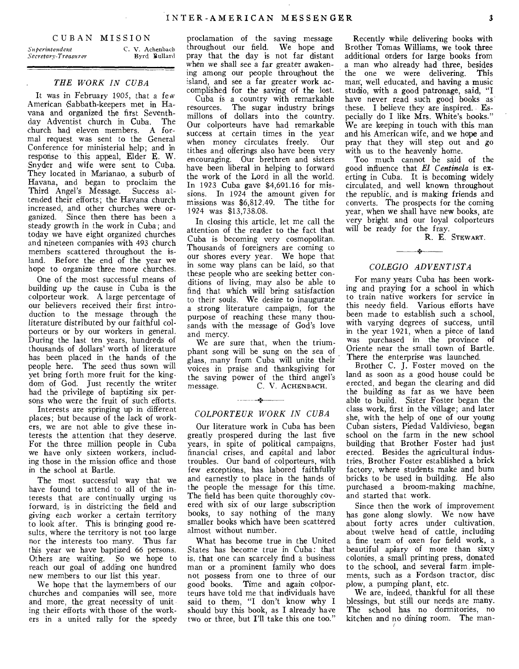### CUBAN MISSION

 $S \vec{e}$ *cretary-Treasurer* 

*Superintendeat C.* V. Achenbaeh

### *THE WORK IN CUBA*

It was in February 1905, that a *few*  American Sabbath-keepers met in Havana and organized the first Seventhday Adventist church in Cuba. The church had eleven members. A formal request was sent to the General Conference for ministerial help; and in response to this appeal, Elder E. W. Snyder and wife were sent to Cuba. They located in Marianao, a suburb of Havana, and began to proclaim the Third Angel's Message. Success attended their efforts; the Havana church increased, and other churches were organized. Since then there has been a steady growth in the work in Cuba; and today we have eight organized churches and nineteen companies with 493 church members scattered throughout the island. Before the end of the year we hope to organize three more churches.

One of the most successful means of building up the cause in Cuba is the colporteur work. A large percentage of our believers received their first introduction to the message through the literature distributed by our faithful colporteurs or by our workers in general. During the last ten years, hundreds of thousands of dollars' worth of literature has been placed in the hands of the people here. The seed thus sown will yet bring forth more fruit for the kingdom of God. Just recently the writer had the privilege of baptizing six persons who were the fruit of such efforts.

Interests are springing up in different places; but because of the lack of workers, we are not able to give these interests the attention that they deserve. For the three million people in Cuba we have only sixteen workers, including those in the mission office and those in the school at Bartle.

The most successful way that we have found to attend to all of the interests that are continually urging us forward, is in districting the field and giving each worker a certain territory to look after. This is bringing good results, where the territory is not too large nor the interests too many. Thus far this year we have baptized 66 persons. Others are waiting. So we hope to reach our goal of adding one hundred new members to our list this year.

We hope that the laymembers of our churches and companies will see, more and more, the great necessity of unit ing their efforts with those of the workers in a united rally for the speedy

proclamation of the saving message throughout our field. We hope and pray that the day is not far distant when we shall see a far greater awakening among our people throughout the island, and see a far greater work accomplished for the saving of the lost.

Cuba is a country with remarkable resources. The sugar industry brings millons of dollars into the country. Our colporteurs have had remarkable success at certain times in the year<br>when money circulates freely. Our when money circulates freely. tithes and offerings also have been very encouraging. Our brethren and sisters have been liberal in helping to forward the work of the Lord in all the world. In 1923 Cuba gave \$4,691.16 for missions. In 1924 the amount given for missions was \$6,812.49. The tithe for 1924 was \$13,738.08.

In closing this article, let me call the attention of the reader to the fact that Cuba is becoming very cosmopolitan. Thousands of foreigners are coming to our shores every year. We hope that in some way plans can be laid, so that these people who are seeking better conditions of living, may also be able to find that which will bring satisfaction to their souls. We desire to inaugurate a strong literature campaign, for the purpose of reaching these many thousands with the message of God's love and mercy.

We are sure that, when the triumphant song will be sung on the sea of glass, many from Cuba will unite their voices in praise and thanksgiving for the saving power of the third angel's message. C. V. ACHENBACH.

### *COLPORTEUR WORK IN CUBA*

-+-

Our literature work in Cuba has been greatly prospered during the last five years, in spite of political campaigns, financial crises, and capital and labor troubles. Our band of colporteurs, with few exceptions, has labored faithfully and earnestly to place in the hands of the people the message for this time. The field has been quite thoroughly covered with six of our large subscription books, to say nothing of the many smaller books which have been scattered almost without number.

What has become true in the United States has become true in Cuba: that is, that one can scarcely find a business man or a prominent family who does not possess from one to three of our good books. Time and again colporteurs have told me that individuals have said to them, "I don't know why I should buy this book, as I already have two or three, but I'll take this one too."

Recently while delivering books with Brother Tomas Williams, we took three additional orders for large books from a man who already had three, besides the one we were delivering. man, well educated, and having a music studio, with a good patronage, said, "I have never read such good books as these. I believe they are inspired. Especially do I like Mrs. White's books." We are keeping in touch with this man and his American wife, and we hope and pray that they will step out and go with us to the heavenly home.

Too much cannot be said of the good influence that *El Centinela* is exerting in Cuba. It is becoming widely circulated, and well known throughout the republic, and is making friends and converts. The prospects for the coming year, when we shall have new books, are very bright and our loyal colporteurs will be ready for the fray.

R. E. STEWART.

# *COLEGIO ADVENTISTA*

4

For many years Cuba has been working and praying for a school in which to train native workers for service in this needy field. Various efforts have been made to establish such a school, with varying degrees of success, until in the year 1921, when a piece of land was purchased in the province of Oriente near the small town of Bartle. There the enterprise was launched.

Brother C. J. Foster moved on the land as soon as a good house could be erected, and began the clearing and did the building as far as we have been able to build. Sister Foster began the class work, first in the village; and later she, with the help of one of our young Cuban sisters, Piedad Valdivieso, began school on the farm in the new school building that Brother Foster had just erected. Besides the agricultural industries, Brother Foster established a brick factory, where students make and burn bricks to be used in building. He also purchased a broom-making machine, and started that work.

Since then the work of improvement has gone along slowly. We now have about forty acres under cultivation, about twelve head of cattle, including a fine team of oxen for field work, a beautiful apiary of more than sixty colonies, a small printing press, donated to the school, and several farm implements, such as a Fordson tractor, disc plow, a pumping plant, etc.

We are, indeed, thankful for all these blessings, but still our needs are many. The school has no dormitories, no kitchen and no dining room. The man-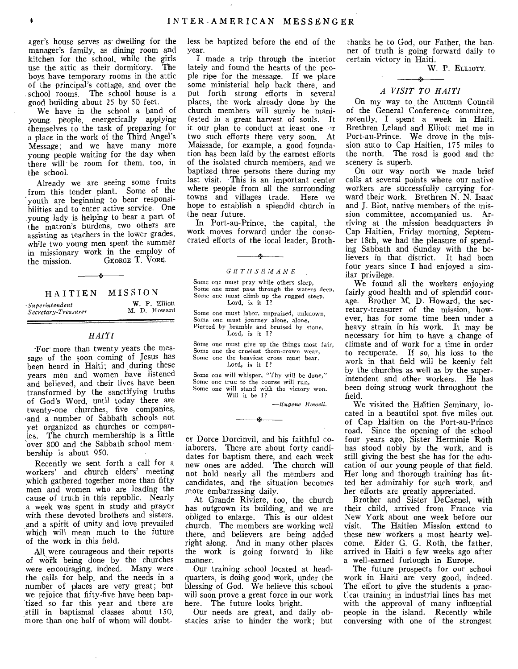ager's house serves as dwelling for the manager's family, as dining room and kitchen for the school, while the girls use the attic as their dormitory. boys have temporary rooms in the attic of the principal's cottage, and over the school rooms. The school house is a good building about 25 by 50 feet.

We have in the school a band of young. people, energetically applying themselves to the task of preparing for a place in the work of the Third Angel's Message; and we have many more young people waiting for the day when there will be room for them, too, in the school.

Already we are seeing some fruits from this tender plant. Some of the youth are beginning to bear responsibilities and to enter active service. One .young lady is helping to bear a part of the matron's burdens, two others are assisting as teachers in the lower grades, while two young men spent the summer in missionary work in the employ of<br>the mission. GEORGE T. VORE. GEORGE T. VORE.

| HAITIEN             | MISSION       |
|---------------------|---------------|
| Superintendent -    | W. P. Elliott |
| Secretary-Treasurer | M. D. Howard  |

### *HAITI*

For more than twenty years the message of the soon coming of Jesus has been heard in Haiti; and during these years men and women have listened and believed, and their lives have been transformed by the sanctifying truths of God's Word, until today there are twenty-one churches, five companies, and a number of Sabbath schools not yet organized as churches or companies, The church membership is a little over 800 and the Sabbath school membership is about 950.

Recently we sent forth a call for a workers' and church elders' meeting which gathered together more than fifty men and women who are leading the cause of truth in this republic. Nearly a week was spent in study and prayer with these devoted brothers and sisters, and a spirit of unity and love prevailed which will mean much to the future of the work in this field.

All were courageous and their reports of work being done by the churches were encouraging, indeed. Many were the calls for help, and the needs in a number of places are very great; but we rejoice that fifty-five have been baptized so far this year and there are still in baptismal classes about 150, more than one half of whom will doubtless be baptized before the end of the year.

I made a trip through the interior lately and found the hearts of the people ripe for the message. If we place some ministerial help back there, and put forth strong efforts in several plates, the work already done by the church members will surely be manifested in a great harvest of souls. It it our plan to conduct at least one or two such efforts there very soon. At Maissade, for example, a good foundation has been laid by the earnest efforts of the isolated church members, and we baptized three persons there during my last visit. This is an important center where people from all the surrounding towns and villages trade. Here we hope to establish a splendid church in the near future.

In Port-au-Prince, the capital, the work moves forward under the consecrated efforts of the local leader, Broth-

d.

### *GETHSEMANE*

Some one must pray while others sleep, Some one must pass through the waters deep, Some one must climb up the rugged steep. Lord, is it I?

Some one must labor, unpraised, unknown, Some one must journey alone, alone, Pierced by bramble and bruised by stone. Lord, is it I?

Some one must give up the things most fair, Some one the cruelest thorn-crown wear, Some one the heaviest cross must bear. Lord, is it I?

Some one will whisper, "Thy will be done," Some one true to the course will run, Some one will stand with the victory won. Will it be I?

-14

*—Eugene Rowell.* 

er Dorce Dorcinvil, and his faithful colaborers. There are about forty candidates for baptism there, and each week new ones are added. The church will not hold nearly all the members and candidates, and the situation becomes more embarrassing daily.

At Grande Riviere, too, the church has outgrown its building, and we are obliged to enlarge. This is our oldest church. The members are working well there, and believers are being added right along. And in many other places the work is going forward in like manner.

Our training school located at headquarters, is doihg good work, under the blessing of God. We believe this school will soon prove a great force in our work here. The future looks bright.

Our needs are great, and daily obstacles arise to hinder the work; but

thanks be to God, our Father, the banner of truth is going forward daily to certain victory in Haiti.

W. P. ELLIOTT.

# *A VISIT TO HAITI*

On my way to the Autumn Council of the General Conference committee, recently, I spent a week in Haiti. Brethren Leland and Elliott met me in Port-au-Prince. We drove in the mission auto to Cap Haitien, 175 miles to the north. The road is good and the scenery is superb.

On our way north we made brief calls at several points where our native workers are successfully carrying forward their work. Brethren N. N. Isaac and J. Blot, native members of the mission committee, accompanied us. Arriving at the mission headquarters in Cap Haitien, Friday morning, September 18th, we had the pleasure of spending Sabbath and 'Sunday with the believers in that district. It had been four years since I had enjoyed a similar privilege.

We found all the workers enjoying fairly good health and of splendid courage. Brother M. D. Howard, the secretary-treasurer of the mission, however, has for some time been under a heavy strain in his work. It may be necessary for him to have a change of climate and of work for a time in order to recuperate. If so, his loss to the work in that field will be keenly felt by the churches as well as by the superintendent and other workers. He has been doing strong work throughout the field.

We visited the Haitien Seminary, located in a beautiful spot five miles out of Cap Haitien on the Port-au-Prince road. Since the opening of the school four years ago, Sister Herminie Roth has stood nobly by the work, and is still giving the best she has for the education of our young people of that field. Her long and thorough training has fitted her admirably for such work, and her efforts are greatly appreciated.

Brother and Sister DeCaenel, with their child, arrived from France via New York about one week before our visit. The Haitien Mission extend to these new workers a most hearty welcome. Elder G. G. Roth, the father, arrived in Haiti a few weeks ago after a well-earned furlough in Europe.

The future prospects for our school work in Haiti are very good, indeed. The effort to give the students a pract'cat training in industrial lines has met with the approval of many influential people in the island. Recently while conversing with one of the strongest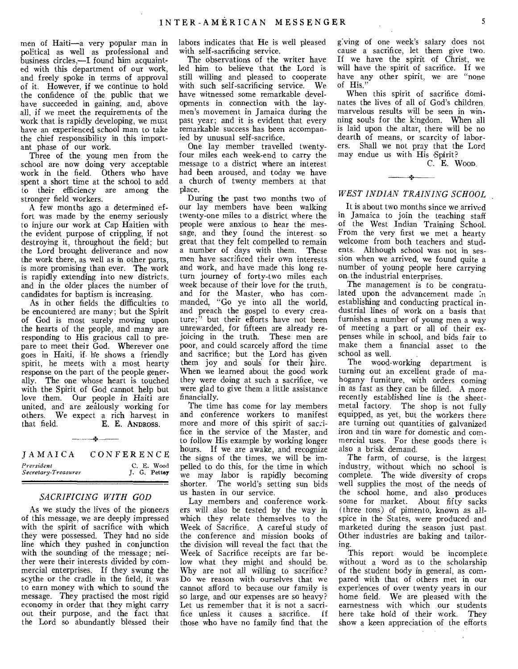men of Haiti—a very popular man in political as well as professional and business circles,—I found him acquainted with this department of our work, and freely spoke in terms of approval of it. However, if we continue to hold the confidence of the public that we have succeeded in gaining, and, above all, if we meet the requirements of the work that is rapidly developing, we must have an experienced school man to take the chief responsibility in this important phase of our work.

Three of the young men from the school are now doing very acceptable work in the field. Others who have spent a short time at the school to add to their efficiency are among the stronger field workers.

A few months ago a determined effort was made by the enemy seriously to injure our work at Cap Haitien with the evident purpose of crippling, if not destroying it, throughout the field; but the Lord brought deliverance and now the work there, as well as in other parts, is more promising than ever. The work is rapidly extending into new districts, and in the older places the number of candidates for baptism is increasing.

As in other fields the difficulties to be encountered are many; but the Spirit of God is most surely moving upon the hearts of the people, and many are responding to His gracious call to prepare to meet their God. Wherever one goes in Haiti, if- the shows a friendly spirit, he meets with a most hearty response on the part of the people generally. The one whose heart is touched with the Spirit of God cannot help but love them. Our people in Haiti are united, and are zealously working for others. We expect a rich harvest in that field. E. E. ANDROSS.

| $\overline{\phantom{a}}$          |                            |  |  |
|-----------------------------------|----------------------------|--|--|
| I A M A I C A                     | CONFERENCE                 |  |  |
| Prersident<br>Secretary-Treasurer | C. E. Wood<br>J. G. Pettey |  |  |

# *SACRIFICING WITH GOD*

As we study the lives of the pioneers of this message, we are deeply impressed with the spirit of sacrifice with which they were possessed. They had no side line which they pushed in conjunction with the sounding of the message; neither were their interests divided by commercial enterprises. If they swung the scythe or the cradle in the field, it was to earn money with which to sound the message. They practised the most rigid economy in order that they might carry out their purpose, and the fact that the Lord so abundantly blessed their labors indicates that He is well pleased with self-sacrificing service.

The observations of the writer have led him to believe that the Lord is still willing and pleased to cooperate with such self-sacrificing service. We have witnessed some remarkable developments in connection with the laymen's movement in Jamaica during the past year; and it is evident that every remarkable success has been accompanied by unusual self-sacrifice.

One lay member travelled twentyfour miles each week-end to carry the message to a district where an interest had been aroused, and today we have a church of twenty members at that place.

During the past two months two of our lay members have been walking twenty-one miles to a district where the people were anxious to hear the message, and they found the interest so great that they felt compelled to remain a number of days with them. These men have sacrificed their own interests and work, and have made this long return journey of forty-two miles each week because of their love for the truth, and for the Master, who has commanded, "Go ye into all the world, and preach the gospel to every creature;<sup>5</sup> but their efforts have not been unrewarded, for fifteen are already rejoicing in the truth. These men are poor, and could scarcely afford the time and sacrifice; but the Lord has given them joy and souls for their hire. When we learned about the good work they were doing at such a sacrifice, we were glad to give them a little assistance financially.

The time has come for lay members and conference workers to manifest more and more of this spirit of sacrifice in the service of the Master, and to follow His example by working longer hours. If we are awake, and recognize the signs of the times, we will be impelled to do this, for the time in which we may labor is rapidly becoming shorter. The world's setting sun bids us hasten in our service.

Lay members and conference workers will also be tested by the way in which they relate themselves to the Week of Sacrifice. A careful study of the conference and mission books of the division will reveal the fact that the Week of Sacrifice receipts are far below what they might and should be. Why are not all willing to sacrifice? Do we reason with ourselves that we cannot afford to because our family is so large, and our expenses are so heavy? Let us remember that it is not a sacrifice unless it causes a sacrifice. if those who have no family find that the

glying of one week's salary does not cause a sacrifice, let them give two. If we have the spirit of Christ, we will have the spirit of sacrifice. If we have any other spirit, we are "none of His.'

When this spirit of sacrifice dominates the lives of all of God's children marvelous results will be seen in win. ning souls for the kingdom. When all is laid upon the altar, there will be no dearth of means, or scarcity of laborers. Shall we not pray that the Lord may endue us with His Spirit?

C. E. WOOD

# *WEST INDIAN TRAINING SCHOOL*

يغد

It is about two months since we arrived in Jamaica to join the teaching staff of the West Indian Training School. From the very first we met a hearty welcome from both teachers and students. Although school was not in session when we arrived, we found quite a number of young people here carrying on. the industrial enterprises.

The management is to be congratulated upon the advancement made in establishing and conducting practical industrial lines of work on a basis that furnishes a number of young men a way of meeting a part or all of their expenses while in school, and bids fair to make them a financial asset to the school as well.

The wood-working department is turning out an excellent grade of mahogany furniture, with orders coming in as fast as they can be filled. A more recently established line is the sheetmetal factory. The shop is not fully equipped, as yet, but the workers there are turning out quantities of galvanized iron and tin ware for domestic and commercial uses. For these goods there is also a brisk demand.

The farm, of course, is the largest industry, without which no school is complete. The wide diversity of crops well supplies the most of the needs of the school home, and also produces some for market. About fifty sacks ( three tons) of pimento, known as allspice in the States, were produced and marketed during the season just past. Other industries are baking and tailoring.

This report would be incomplete without a word as to the scholarship of the student body in general, as compared with that of others met in our experiences of over twenty years in our home field. We are pleased with the earnestness with which our students here take hold of their work. They show a keen appreciation of the efforts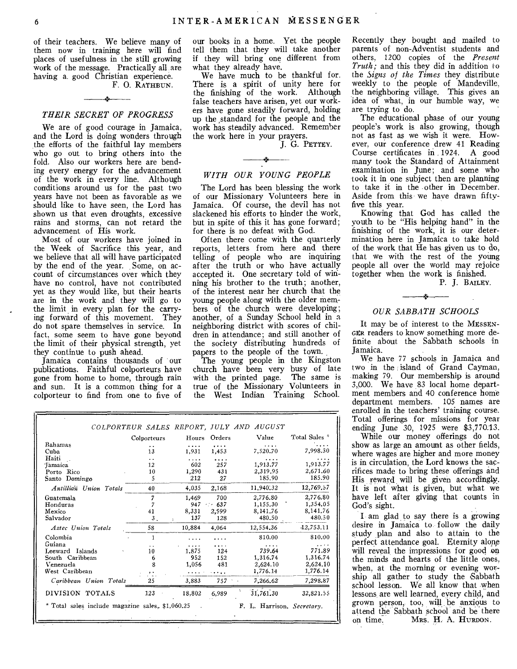of their teachers. We believe many of them now in training here will find places of usefulness in the still growing work of the message. Practically all are having a. good Christian experience. F. 0. RATHBUN.

# *THEIR SECRET OF PROGRESS*

We are of good courage in Jamaica, and the Lord is doing wonders through the efforts of the faithful lay members who go out to bring others into the fold. Also our workers here are bending every energy for the advancement of the work in every line. Although conditions around us for the past two years have not been as favorable as we should like to have seen, the Lord has shown us that even droughts, excessive rains and storms, can not retard the advancement of His work.

Most of our workers have joined in the Week of Sacrifice this year, and we believe that all will have participated by the end of the year. Some, on account of circumstances over which they have no control, have not contributed yet as they would like, but their hearts are in the work and they will go to the limit in every plan for the carrying forward of this movement. They do not spare themselves in service. In fact, some seem to have gone beyond the limit of their physical strength, yet they continue to push ahead.

Jamaica contains thousands of our publications. Faithful colporteurs have gone from home to home, through rain and sun. It is a common thing for a colporteur to find from one to five of

our books in a home. Yet the people tell them that they will take another if they will bring one different from what they already have.

We have much to be thankful for. There is a spirit of unity here for the finishing of the work. Although false teachers have arisen, yet our workers have gone steadily forward, holding up the standard for the people and the work has steadily advanced. Remember the work here in your prayers.

J. G. PETTEY.

### • *WITH OUR YOUNG PEOPLE*

The Lord has been blessing the work of our Missionary Volunteers here in Jamaica. Of course, the devil has not slackened his efforts to hinder the work, but in spite of this it has gone forward; for there is no defeat with God.

Often there come with the quarterly reports, letters from here and there telling of people who are inquiring after the truth or who have actually accepted it. One secretary told of winning his brother to the truth; another, of the interest near her church that the young people along with the older members of the church were developing; another, of a Sunday School held in a neighboring district with scores of children in attendance; and still another of the society distributing hundreds of papers to the people of the town.

The young people in the Kingston church have been very busy of late<br>with the printed page. The same is with the printed page. true of the Missionary Volunteers in<br>the West Indian Training School. West Indian Training School.

| Recently they bought and mailed to              |
|-------------------------------------------------|
| parents of non-Adventist students and           |
| others, 1200 copies of the <i>Present</i>       |
| <i>Truth</i> ; and this they did in addition to |
| the <i>Signs of the Times</i> they distribute   |
| weekly to the people of Mandeville,             |
| the neighboring village. This gives an          |
| idea of what, in our humble way, we             |
| are trying to do.                               |

The educational phase of our young people's work is also growing, though not as fast as we wish it were. However, our conference drew 41 Reading Course certificates in 1924. A good many took the Standard of Attainment examination in June; and some who took it in one subject then are planning to take it in the other in December. Aside from this we have drawn fiftyfive this year.

Knowing that God has called the youth to be "His helping hand" in the finishing of the work, it is our determination here in Jamaica to take hold of the work that He has given us to do, that we with the rest of the young people all over the world may rejoice together when the work is finished.

P. J. BAILEY.

# *OUR SABBATH SCHOOLS*

It may be of interest to the MESSEN-GER readers to know something more definite about the Sabbath schools in Jamaica.

We have 77 schools in Jamaica and two in the island of Grand Cayman, making 79. Our membership is around 3,000. We have 83 local home department members and 40 conference home department members. 105 names are enrolled in the teachers' training course. Total offerings for missions for year ending June 30, 1925 were \$3,770.13.

While our money offerings do not show as large an amount as other fields, where wages are higher and more money is in circulation, the Lord knows the sacrifices made to bring these offerings and His reward will be given accordingly. It is not what is given, but what we have left after giving that counts in God's sight.

I. am glad, to say there is a growing desire in Jamaica to follow the daily study plan and also to attain to the perfect attendance goal. Eternity alone will reveal the impressions for good on the minds and hearts of the little ones, when, at the morning or evening worship all gather to study the Sabbath school lesson. We all know that when lessons are well learned, every child, and grown person, too, will be anxious to attend the Sabbath school and be there<br>on time. MRS. H. A. HURDON. MRS. H. A. HURDON.

|                                                  | COLPORTEUR SALES REPORT, JULY AND<br>Colporteurs | Hours  | Orders   | AUGUST<br>Value            | Total Sales *      |
|--------------------------------------------------|--------------------------------------------------|--------|----------|----------------------------|--------------------|
| Bahamas                                          |                                                  | .      | .        | .                          | .                  |
| Cuba                                             | . .<br>13                                        | 1,931  | 1,453    | 7,520.70                   | 7,998.30           |
| Haiti                                            |                                                  | .      |          |                            |                    |
| Tamaica                                          | 12                                               | 602    | 257      | 1,913.77                   | 1,913.77           |
| Porto Rico                                       | 10                                               | 1,290  | 431      | 2,319.95                   | 2,671,60           |
| Santo Domingo                                    | 5                                                | 212    | 27       | 185.90                     | 185.90             |
| Antillian Union Totals                           | 40                                               | 4,035  | 2,168    | 11,940,32                  | 12,769,57          |
| Guatemala                                        | 7                                                | 1.469  | 700      | 2,776.80                   | 2,776.80           |
| Honduras                                         | 7                                                | 947    | $-637$   | 1,155.30                   | 1,354.05           |
| Mexico                                           | 41                                               | 8,331  | 2,599    | 8,141.76                   | 8,141.76           |
| Salvador                                         | 3 <sub>l</sub>                                   | 137    | 128      | 480.50                     | 480.50             |
| Astec Union Totals                               | 58                                               | 10,884 | 4,064    | 12,554,36                  | $-12,753.11$       |
| Colombia<br>Guiana                               | 1                                                |        |          | 810.00                     | 810.00             |
| Leeward Islands                                  | 10                                               | 1.875  | 124      | 739.64                     | $\cdots$<br>771.89 |
| South Caribbean                                  | 6                                                | 952    | 152      | 1,316.74                   | 1,316.74           |
| Venezuela                                        | 8                                                | 1,056  | 481      | 2,624.10                   | 2,624.10           |
| West Caribbean                                   | $\ddot{\phantom{1}}$                             |        | $\cdots$ | 1,776.14                   | 1,776.14           |
| Caribbean Union Totals                           | 25                                               | 3,883  | 757      | 7,266,62                   | 7,298.87           |
| DIVISION TOTALS                                  | 123                                              | 18.802 | 6.989    | 31,761,30                  | 32,821.55          |
| * Total sales include magazine sales, \$1,060.25 |                                                  |        |          | F. L. Harrison, Secretary. |                    |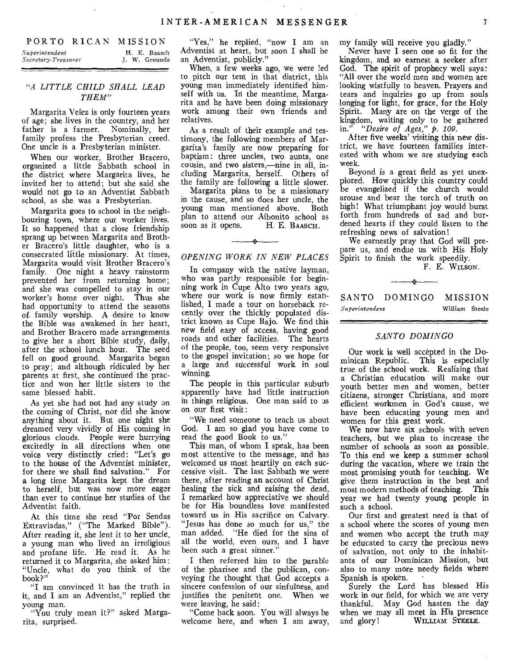|                                       | PORTO RICAN MISSION           |
|---------------------------------------|-------------------------------|
| Superintendent<br>Secretary-Treasurer | H. E. Baasch<br>J. W. Grounds |

# "A *LITTLE CHILD SHALL LEAD THEM"*

Margarita Velez is only fourteen years of age; she lives in the country, and her father is a farmer. Nominally, her family profess the Presbyterian creed. One uncle is a Presbyterian minister.

When our worker, Brother Bracero, organized a little Sabbath school in the district where Margarita lives, he invited her to attend; but she said she would not go to an Adventist Sabbath school, as she was a Presbyterian.

Margarita goes to school in the neighbouring town, where our worker lives. It so happened that a close friendship sprang up between Margarita and Brother Bracero's little daughter, who is a consecrated little missionary. At times, Margarita would visit Brother Bracero's family. One night a heavy rainstorm prevented her from returning home; and she was compelled to stay in our worker's home over night. Thus she had opportunity to attend the seasons of family worship. A desire to know the Bible was awakened in her heart, and Brother Bracero made arrangements to give her a short Bible study, daily, after the school lunch hour. The seed fell on good ground. Margarita began to pray; and although ridiculed by her parents at first, she continued the practice and won her little sisters to the same blessed habit.

As yet she had not had any study on the coming of Christ, nor did she know anything about it. But one night she dreamed very vividly of His coming in glorious clouds. People were hurrying excitedly in all directions when one voice very distinctly cried: "Let's go to the house of the Adventist minister, for there we shall find salvation." For a long time Margarita kept the dream to herself, but was now more eager than ever to continue her studies of the Adventist faith.

At this time she read "Por Sendas Extraviadas," ("The Marked Bible"). After reading it, she lent it to her uncle, a young man who lived an irreligious and profane life. He read it. As he returned it to Margarita, she asked him: "Uncle, what do you think of the book?"

"I am convinced it has the truth in it, and I am an Adventist," replied the young man.

"You truly mean it?" asked Margarita, surprised.

"Yes," he replied, "now I am an Adventist at heart, but soon I shall be an Adventist, publicly."

When, a few weeks ago, we were led to pitch our tent in that district, this young man immediately identified himself with us. In the meantime, Margarita and he have been doing missionary work among their own friends and relatives.

As a result of their example and testimony, the following members of Margarita's family are now preparing for baptism: three uncles, two aunts, one cousin, and two sisters,—nine in all, including Margarita, herself. Others of the family are following a little slower.

Margarita plans to be a missionary in the cause, and so does her uncle, the young man mentioned above. Both plan to attend our Aibonito school as<br>soon as it opens. H. E. BAASCH. soon as it opens.

### *OPENING WORK IN NEW PLACES*

In company with the native layman, who was partly responsible for beginning work in Cupe Alto two years ago, where our work is now firmly established, I made a tour on horseback recently over the thickly populated district known as Cupe Bajo. We find this new field easy of access, having good roads and other facilities. The hearts of the people, too, seem very responsive to the gospel invitation; so we hope for a large and successful work in soul winning.

The people in this particular suburb apparently have had little instruction in things religious. One man said to as on our first visit:

"We need someone to teach us about God. I am so glad you have come to read the good Book to us."

This man, of whom I speak, has been most attentive to the message, and has welcomed us most heartily on each successive visit. The last Sabbath we were there, after reading an account of Christ healing the sick and raising the dead, I remarked how appreciative we should be for His boundless love manifested toward us in His sacrifice on Calvary. "Jesus has done so much for us," the man added. "He died for the sins of all the world, even ours, and I have been such a great sinner.'

I then referred him to the parable of the pharisee and the publican, conveying the thought that God accepts a sincere confession of our sinfulness, and justifies the penitent one. When we were leaving, he said:

"Come back soon. You will always be welcome here, and when I am away, my family will receive you gladly."

Never have I seen one so fit for the kingdom, and so earnest a seeker after God. The spirit of prophecy well says: "All over the world men and women are looking wistfully to heaven. Prayers and tears and inquiries go up from souls longing for light, for grace, for the Holy Spirit. Many are on the verge of the kingdom, waiting only to be gathered in." *"Desire of Ages,"* p. *109.* 

After five weeks' visiting this new district, we have fourteen families interested with whom we are studying each week.

Beyond is a great field as yet unexplored. How quickly this country could be evangelized if the church would arouse and bear the torch of truth on high! What triumphant joy would burst forth from hundreds of sad and burdened hearts if they could listen to the refreshing news of salvation!

We earnestly pray that God will prepare us, and endue us with His Holy Spirit to finish the work speedily.

r.<br>Ar

F. E. WILSON.

SANTO DOMINGO MISSION *Superintendent* William Steele

### *SANTO DOMINGO*

Our work is well accepted in the Dominican Republic. This is especially true of the school work. Realizing that a Christian education will make our youth better men and women, better citizens, stronger Christians, and more efficient workmen in God's cause, we have been educating young men and women for this great work.

We now have six schools with seven teachers, but we plan to increase the number of schools as soon as possible. To this end we keep a summer school during the vacation, where we train the most promising youth for teaching. We give them instruction in the best and most modern methods of teaching. This year we had twenty young people in such a school.

Our first and greatest need is that of a school where the scores of young men and women who accept the truth may be educated to carry the precious news of salvation, not only to the inhabitants of our Dominican Mission, but also to many more needy fields where Spanish is spoken. •

Surely the Lord has blessed His work in our field, for which we are very thankful. May God hasten the day when we may all meet in His presence<br>and glory! WILLIAM STEELE. WILLIAM STEELE.